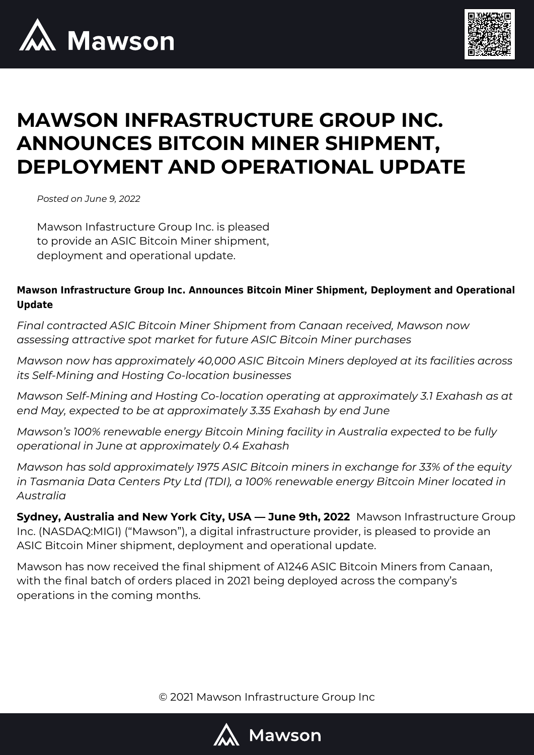



# **MAWSON INFRASTRUCTURE GROUP INC. ANNOUNCES BITCOIN MINER SHIPMENT, DEPLOYMENT AND OPERATIONAL UPDATE**

*Posted on June 9, 2022*

Mawson Infastructure Group Inc. is pleased to provide an ASIC Bitcoin Miner shipment, deployment and operational update.

### **Mawson Infrastructure Group Inc. Announces Bitcoin Miner Shipment, Deployment and Operational Update**

*Final contracted ASIC Bitcoin Miner Shipment from Canaan received, Mawson now assessing attractive spot market for future ASIC Bitcoin Miner purchases* 

*Mawson now has approximately 40,000 ASIC Bitcoin Miners deployed at its facilities across its Self-Mining and Hosting Co-location businesses*

*Mawson Self-Mining and Hosting Co-location operating at approximately 3.1 Exahash as at end May, expected to be at approximately 3.35 Exahash by end June* 

*Mawson's 100% renewable energy Bitcoin Mining facility in Australia expected to be fully operational in June at approximately 0.4 Exahash* 

*Mawson has sold approximately 1975 ASIC Bitcoin miners in exchange for 33% of the equity in Tasmania Data Centers Pty Ltd (TDI), a 100% renewable energy Bitcoin Miner located in Australia* 

**Sydney, Australia and New York City, USA — June 9th, 2022** Mawson Infrastructure Group Inc. (NASDAQ:MIGI) ("Mawson"), a digital infrastructure provider, is pleased to provide an ASIC Bitcoin Miner shipment, deployment and operational update.

Mawson has now received the final shipment of A1246 ASIC Bitcoin Miners from Canaan, with the final batch of orders placed in 2021 being deployed across the company's operations in the coming months.

© 2021 Mawson Infrastructure Group Inc

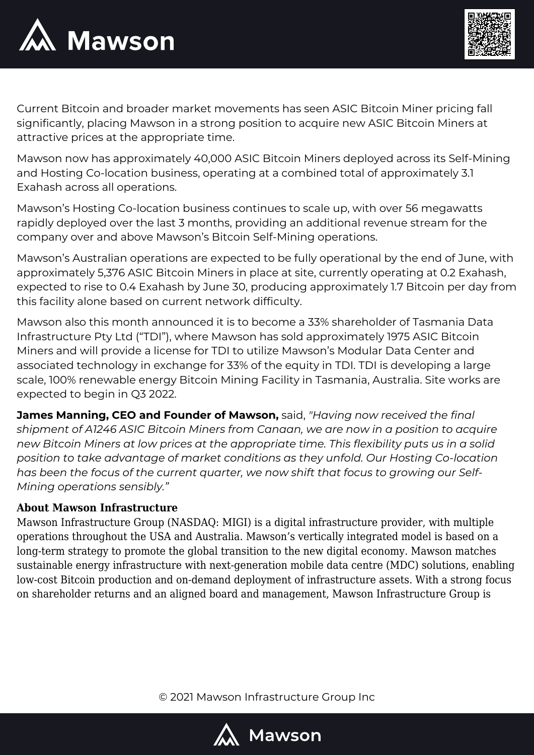



Current Bitcoin and broader market movements has seen ASIC Bitcoin Miner pricing fall significantly, placing Mawson in a strong position to acquire new ASIC Bitcoin Miners at attractive prices at the appropriate time.

Mawson now has approximately 40,000 ASIC Bitcoin Miners deployed across its Self-Mining and Hosting Co-location business, operating at a combined total of approximately 3.1 Exahash across all operations.

Mawson's Hosting Co-location business continues to scale up, with over 56 megawatts rapidly deployed over the last 3 months, providing an additional revenue stream for the company over and above Mawson's Bitcoin Self-Mining operations.

Mawson's Australian operations are expected to be fully operational by the end of June, with approximately 5,376 ASIC Bitcoin Miners in place at site, currently operating at 0.2 Exahash, expected to rise to 0.4 Exahash by June 30, producing approximately 1.7 Bitcoin per day from this facility alone based on current network difficulty.

Mawson also this month announced it is to become a 33% shareholder of Tasmania Data Infrastructure Pty Ltd ("TDI"), where Mawson has sold approximately 1975 ASIC Bitcoin Miners and will provide a license for TDI to utilize Mawson's Modular Data Center and associated technology in exchange for 33% of the equity in TDI. TDI is developing a large scale, 100% renewable energy Bitcoin Mining Facility in Tasmania, Australia. Site works are expected to begin in Q3 2022.

**James Manning, CEO and Founder of Mawson,** said, *"Having now received the final shipment of A1246 ASIC Bitcoin Miners from Canaan, we are now in a position to acquire new Bitcoin Miners at low prices at the appropriate time. This flexibility puts us in a solid position to take advantage of market conditions as they unfold. Our Hosting Co-location has been the focus of the current quarter, we now shift that focus to growing our Self-Mining operations sensibly."*

## **About Mawson Infrastructure**

Mawson Infrastructure Group (NASDAQ: MIGI) is a digital infrastructure provider, with multiple operations throughout the USA and Australia. Mawson's vertically integrated model is based on a long-term strategy to promote the global transition to the new digital economy. Mawson matches sustainable energy infrastructure with next-generation mobile data centre (MDC) solutions, enabling low-cost Bitcoin production and on-demand deployment of infrastructure assets. With a strong focus on shareholder returns and an aligned board and management, Mawson Infrastructure Group is

© 2021 Mawson Infrastructure Group Inc